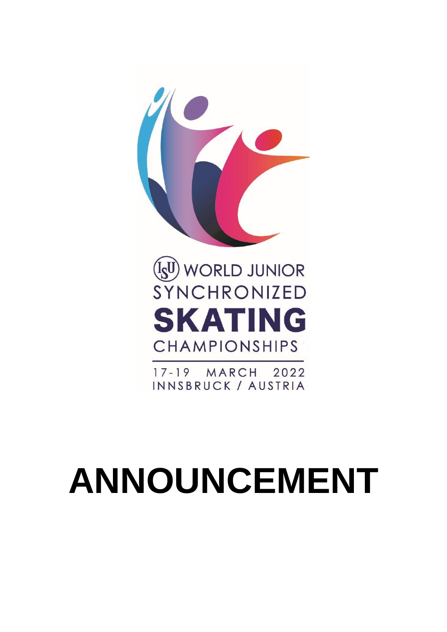

2022 17-19 MARCH INNSBRUCK / AUSTRIA

# **ANNOUNCEMENT**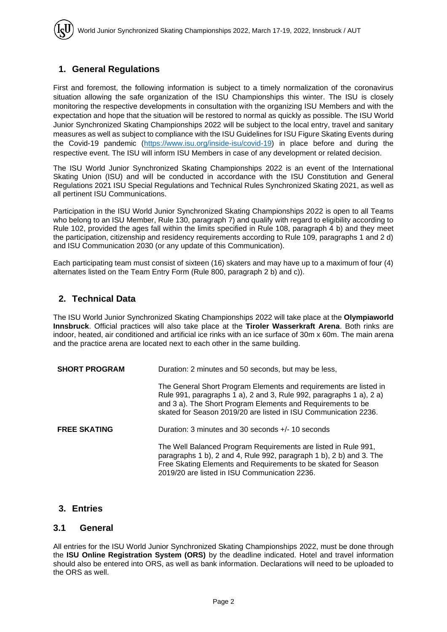## **1. General Regulations**

First and foremost, the following information is subject to a timely normalization of the coronavirus situation allowing the safe organization of the ISU Championships this winter. The ISU is closely monitoring the respective developments in consultation with the organizing ISU Members and with the expectation and hope that the situation will be restored to normal as quickly as possible. The ISU World Junior Synchronized Skating Championships 2022 will be subject to the local entry, travel and sanitary measures as well as subject to compliance with the ISU Guidelines for ISU Figure Skating Events during the Covid-19 pandemic [\(https://www.isu.org/inside-isu/covid-19\)](https://www.isu.org/inside-isu/covid-19) in place before and during the respective event. The ISU will inform ISU Members in case of any development or related decision.

The ISU World Junior Synchronized Skating Championships 2022 is an event of the International Skating Union (ISU) and will be conducted in accordance with the ISU Constitution and General Regulations 2021 ISU Special Regulations and Technical Rules Synchronized Skating 2021, as well as all pertinent ISU Communications.

Participation in the ISU World Junior Synchronized Skating Championships 2022 is open to all Teams who belong to an ISU Member, Rule 130, paragraph 7) and qualify with regard to eligibility according to Rule 102, provided the ages fall within the limits specified in Rule 108, paragraph 4 b) and they meet the participation, citizenship and residency requirements according to Rule 109, paragraphs 1 and 2 d) and ISU Communication 2030 (or any update of this Communication).

Each participating team must consist of sixteen (16) skaters and may have up to a maximum of four (4) alternates listed on the Team Entry Form (Rule 800, paragraph 2 b) and c)).

### **2. Technical Data**

The ISU World Junior Synchronized Skating Championships 2022 will take place at the **Olympiaworld Innsbruck**. Official practices will also take place at the **Tiroler Wasserkraft Arena**. Both rinks are indoor, heated, air conditioned and artificial ice rinks with an ice surface of 30m x 60m. The main arena and the practice arena are located next to each other in the same building.

| <b>SHORT PROGRAM</b> | Duration: 2 minutes and 50 seconds, but may be less,                                                                                                                                                                                                                       |  |
|----------------------|----------------------------------------------------------------------------------------------------------------------------------------------------------------------------------------------------------------------------------------------------------------------------|--|
|                      | The General Short Program Elements and requirements are listed in<br>Rule 991, paragraphs 1 a), 2 and 3, Rule 992, paragraphs 1 a), 2 a)<br>and 3 a). The Short Program Elements and Requirements to be<br>skated for Season 2019/20 are listed in ISU Communication 2236. |  |
| <b>FREE SKATING</b>  | Duration: 3 minutes and 30 seconds $+/-$ 10 seconds                                                                                                                                                                                                                        |  |
|                      | The Well Balanced Program Requirements are listed in Rule 991,<br>paragraphs 1 b), 2 and 4, Rule 992, paragraph 1 b), 2 b) and 3. The<br>Free Skating Elements and Requirements to be skated for Season<br>2019/20 are listed in ISU Communication 2236.                   |  |

### **3. Entries**

#### **3.1 General**

All entries for the ISU World Junior Synchronized Skating Championships 2022, must be done through the **ISU Online Registration System (ORS)** by the deadline indicated. Hotel and travel information should also be entered into ORS, as well as bank information. Declarations will need to be uploaded to the ORS as well.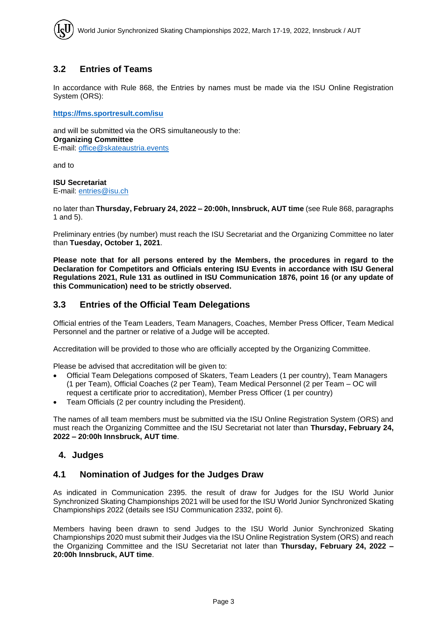## **3.2 Entries of Teams**

In accordance with Rule 868, the Entries by names must be made via the ISU Online Registration System (ORS):

**<https://fms.sportresult.com/isu>**

and will be submitted via the ORS simultaneously to the: **Organizing Committee** E-mail: [office@skateaustria.events](mailto:office@skateaustria.events)

and to

#### **ISU Secretariat**

E-mail: [entries@isu.ch](mailto:entries@isu.ch)

no later than **Thursday, February 24, 2022 – 20:00h, Innsbruck, AUT time** (see Rule 868, paragraphs 1 and 5).

Preliminary entries (by number) must reach the ISU Secretariat and the Organizing Committee no later than **Tuesday, October 1, 2021**.

**Please note that for all persons entered by the Members, the procedures in regard to the Declaration for Competitors and Officials entering ISU Events in accordance with ISU General Regulations 2021, Rule 131 as outlined in ISU Communication 1876, point 16 (or any update of this Communication) need to be strictly observed.** 

### **3.3 Entries of the Official Team Delegations**

Official entries of the Team Leaders, Team Managers, Coaches, Member Press Officer, Team Medical Personnel and the partner or relative of a Judge will be accepted.

Accreditation will be provided to those who are officially accepted by the Organizing Committee.

Please be advised that accreditation will be given to:

- Official Team Delegations composed of Skaters, Team Leaders (1 per country), Team Managers (1 per Team), Official Coaches (2 per Team), Team Medical Personnel (2 per Team – OC will request a certificate prior to accreditation), Member Press Officer (1 per country)
- Team Officials (2 per country including the President).

The names of all team members must be submitted via the ISU Online Registration System (ORS) and must reach the Organizing Committee and the ISU Secretariat not later than **Thursday, February 24, 2022 – 20:00h Innsbruck, AUT time**.

### **4. Judges**

### **4.1 Nomination of Judges for the Judges Draw**

As indicated in Communication 2395. the result of draw for Judges for the ISU World Junior Synchronized Skating Championships 2021 will be used for the ISU World Junior Synchronized Skating Championships 2022 (details see ISU Communication 2332, point 6).

Members having been drawn to send Judges to the ISU World Junior Synchronized Skating Championships 2020 must submit their Judges via the ISU Online Registration System (ORS) and reach the Organizing Committee and the ISU Secretariat not later than **Thursday, February 24, 2022 – 20:00h Innsbruck, AUT time**.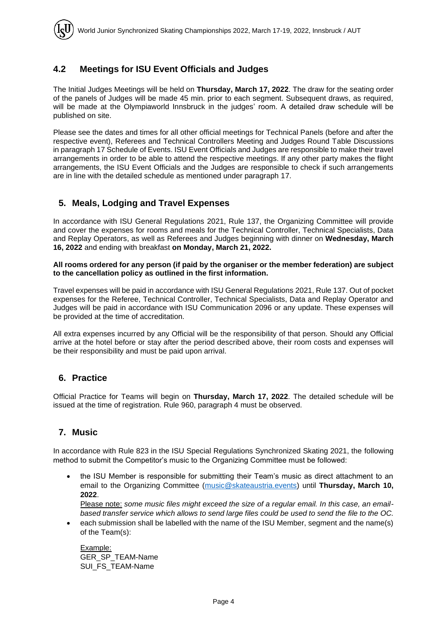## **4.2 Meetings for ISU Event Officials and Judges**

The Initial Judges Meetings will be held on **Thursday, March 17, 2022**. The draw for the seating order of the panels of Judges will be made 45 min. prior to each segment. Subsequent draws, as required, will be made at the Olympiaworld Innsbruck in the judges' room. A detailed draw schedule will be published on site.

Please see the dates and times for all other official meetings for Technical Panels (before and after the respective event), Referees and Technical Controllers Meeting and Judges Round Table Discussions in paragraph 17 Schedule of Events. ISU Event Officials and Judges are responsible to make their travel arrangements in order to be able to attend the respective meetings. If any other party makes the flight arrangements, the ISU Event Officials and the Judges are responsible to check if such arrangements are in line with the detailed schedule as mentioned under paragraph 17.

## **5. Meals, Lodging and Travel Expenses**

In accordance with ISU General Regulations 2021, Rule 137, the Organizing Committee will provide and cover the expenses for rooms and meals for the Technical Controller, Technical Specialists, Data and Replay Operators, as well as Referees and Judges beginning with dinner on **Wednesday, March 16, 2022** and ending with breakfast **on Monday, March 21, 2022.**

#### **All rooms ordered for any person (if paid by the organiser or the member federation) are subject to the cancellation policy as outlined in the first information.**

Travel expenses will be paid in accordance with ISU General Regulations 2021, Rule 137. Out of pocket expenses for the Referee, Technical Controller, Technical Specialists, Data and Replay Operator and Judges will be paid in accordance with ISU Communication 2096 or any update. These expenses will be provided at the time of accreditation.

All extra expenses incurred by any Official will be the responsibility of that person. Should any Official arrive at the hotel before or stay after the period described above, their room costs and expenses will be their responsibility and must be paid upon arrival.

### **6. Practice**

Official Practice for Teams will begin on **Thursday, March 17, 2022**. The detailed schedule will be issued at the time of registration. Rule 960, paragraph 4 must be observed.

### **7. Music**

In accordance with Rule 823 in the ISU Special Regulations Synchronized Skating 2021, the following method to submit the Competitor's music to the Organizing Committee must be followed:

• the ISU Member is responsible for submitting their Team's music as direct attachment to an email to the Organizing Committee [\(music@skateaustria.events\)](mailto:music@skateaustria.events) until **Thursday, March 10, 2022**.

Please note: *some music files might exceed the size of a regular email. In this case, an emailbased transfer service which allows to send large files could be used to send the file to the OC.*

• each submission shall be labelled with the name of the ISU Member, segment and the name(s) of the Team(s):

Example: GER\_SP\_TEAM-Name SUI FS TEAM-Name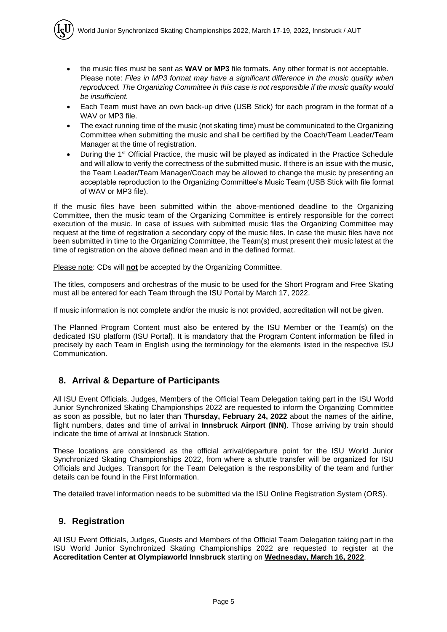- the music files must be sent as **WAV or MP3** file formats. Any other format is not acceptable. Please note: *Files in MP3 format may have a significant difference in the music quality when reproduced. The Organizing Committee in this case is not responsible if the music quality would be insufficient.*
- Each Team must have an own back-up drive (USB Stick) for each program in the format of a WAV or MP3 file.
- The exact running time of the music (not skating time) must be communicated to the Organizing Committee when submitting the music and shall be certified by the Coach/Team Leader/Team Manager at the time of registration.
- During the 1<sup>st</sup> Official Practice, the music will be played as indicated in the Practice Schedule and will allow to verify the correctness of the submitted music. If there is an issue with the music, the Team Leader/Team Manager/Coach may be allowed to change the music by presenting an acceptable reproduction to the Organizing Committee's Music Team (USB Stick with file format of WAV or MP3 file).

If the music files have been submitted within the above-mentioned deadline to the Organizing Committee, then the music team of the Organizing Committee is entirely responsible for the correct execution of the music. In case of issues with submitted music files the Organizing Committee may request at the time of registration a secondary copy of the music files. In case the music files have not been submitted in time to the Organizing Committee, the Team(s) must present their music latest at the time of registration on the above defined mean and in the defined format.

Please note: CDs will **not** be accepted by the Organizing Committee.

The titles, composers and orchestras of the music to be used for the Short Program and Free Skating must all be entered for each Team through the ISU Portal by March 17, 2022.

If music information is not complete and/or the music is not provided, accreditation will not be given.

The Planned Program Content must also be entered by the ISU Member or the Team(s) on the dedicated ISU platform (ISU Portal). It is mandatory that the Program Content information be filled in precisely by each Team in English using the terminology for the elements listed in the respective ISU Communication.

## **8. Arrival & Departure of Participants**

All ISU Event Officials, Judges, Members of the Official Team Delegation taking part in the ISU World Junior Synchronized Skating Championships 2022 are requested to inform the Organizing Committee as soon as possible, but no later than **Thursday, February 24, 2022** about the names of the airline, flight numbers, dates and time of arrival in **Innsbruck Airport (INN)**. Those arriving by train should indicate the time of arrival at Innsbruck Station.

These locations are considered as the official arrival/departure point for the ISU World Junior Synchronized Skating Championships 2022, from where a shuttle transfer will be organized for ISU Officials and Judges. Transport for the Team Delegation is the responsibility of the team and further details can be found in the First Information.

The detailed travel information needs to be submitted via the ISU Online Registration System (ORS).

### **9. Registration**

All ISU Event Officials, Judges, Guests and Members of the Official Team Delegation taking part in the ISU World Junior Synchronized Skating Championships 2022 are requested to register at the **Accreditation Center at Olympiaworld Innsbruck** starting on **Wednesday, March 16, 2022**.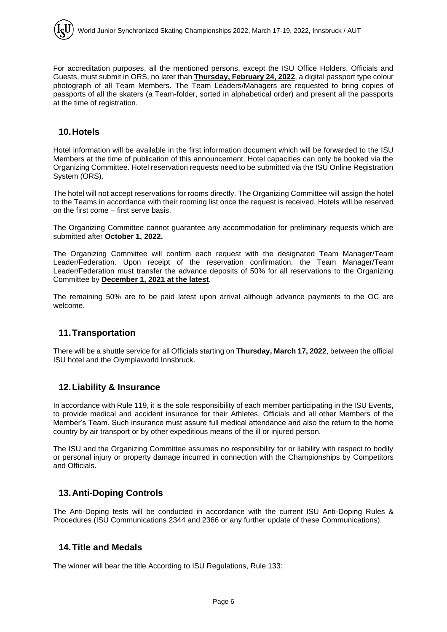For accreditation purposes, all the mentioned persons, except the ISU Office Holders, Officials and Guests, must submit in ORS, no later than **Thursday, February 24, 2022**, a digital passport type colour photograph of all Team Members. The Team Leaders/Managers are requested to bring copies of passports of all the skaters (a Team-folder, sorted in alphabetical order) and present all the passports at the time of registration.

## **10.Hotels**

Hotel information will be available in the first information document which will be forwarded to the ISU Members at the time of publication of this announcement. Hotel capacities can only be booked via the Organizing Committee. Hotel reservation requests need to be submitted via the ISU Online Registration System (ORS).

The hotel will not accept reservations for rooms directly. The Organizing Committee will assign the hotel to the Teams in accordance with their rooming list once the request is received. Hotels will be reserved on the first come – first serve basis.

The Organizing Committee cannot guarantee any accommodation for preliminary requests which are submitted after **October 1, 2022.** 

The Organizing Committee will confirm each request with the designated Team Manager/Team Leader/Federation. Upon receipt of the reservation confirmation, the Team Manager/Team Leader/Federation must transfer the advance deposits of 50% for all reservations to the Organizing Committee by **December 1, 2021 at the latest**.

The remaining 50% are to be paid latest upon arrival although advance payments to the OC are welcome.

## **11.Transportation**

There will be a shuttle service for all Officials starting on **Thursday, March 17, 2022**, between the official ISU hotel and the Olympiaworld Innsbruck.

## **12.Liability & Insurance**

In accordance with Rule 119, it is the sole responsibility of each member participating in the ISU Events, to provide medical and accident insurance for their Athletes, Officials and all other Members of the Member's Team. Such insurance must assure full medical attendance and also the return to the home country by air transport or by other expeditious means of the ill or injured person.

The ISU and the Organizing Committee assumes no responsibility for or liability with respect to bodily or personal injury or property damage incurred in connection with the Championships by Competitors and Officials.

## **13.Anti-Doping Controls**

The Anti-Doping tests will be conducted in accordance with the current ISU Anti-Doping Rules & Procedures (ISU Communications 2344 and 2366 or any further update of these Communications).

## **14.Title and Medals**

The winner will bear the title According to ISU Regulations, Rule 133: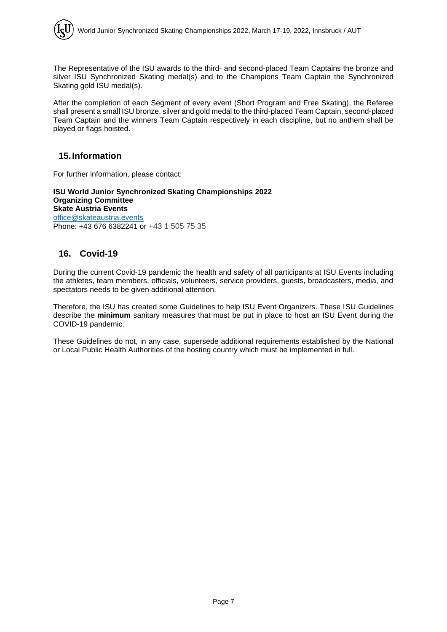The Representative of the ISU awards to the third- and second-placed Team Captains the bronze and silver ISU Synchronized Skating medal(s) and to the Champions Team Captain the Synchronized Skating gold ISU medal(s).

After the completion of each Segment of every event (Short Program and Free Skating), the Referee shall present a small ISU bronze, silver and gold medal to the third-placed Team Captain, second-placed Team Captain and the winners Team Captain respectively in each discipline, but no anthem shall be played or flags hoisted.

## **15.Information**

For further information, please contact:

**ISU World Junior Synchronized Skating Championships 2022 Organizing Committee Skate Austria Events** [office@skateaustria.events](mailto:office@skateaustria.events) Phone: +43 676 6382241 or +43 1 505 75 35

## **16. Covid-19**

During the current Covid-19 pandemic the health and safety of all participants at ISU Events including the athletes, team members, officials, volunteers, service providers, guests, broadcasters, media, and spectators needs to be given additional attention.

Therefore, the ISU has created some Guidelines to help ISU Event Organizers. These ISU Guidelines describe the **minimum** sanitary measures that must be put in place to host an ISU Event during the COVID-19 pandemic.

These Guidelines do not, in any case, supersede additional requirements established by the National or Local Public Health Authorities of the hosting country which must be implemented in full.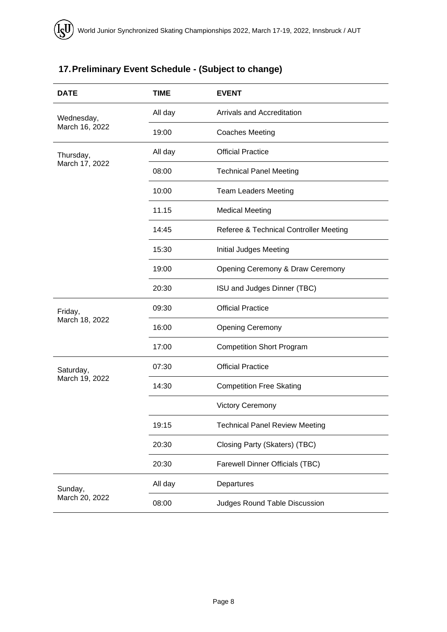# **17.Preliminary Event Schedule - (Subject to change)**

| <b>DATE</b>                  | <b>TIME</b> | <b>EVENT</b>                           |  |
|------------------------------|-------------|----------------------------------------|--|
| Wednesday,<br>March 16, 2022 | All day     | Arrivals and Accreditation             |  |
|                              | 19:00       | <b>Coaches Meeting</b>                 |  |
| Thursday,<br>March 17, 2022  | All day     | <b>Official Practice</b>               |  |
|                              | 08:00       | <b>Technical Panel Meeting</b>         |  |
|                              | 10:00       | <b>Team Leaders Meeting</b>            |  |
|                              | 11.15       | <b>Medical Meeting</b>                 |  |
|                              | 14:45       | Referee & Technical Controller Meeting |  |
|                              | 15:30       | Initial Judges Meeting                 |  |
|                              | 19:00       | Opening Ceremony & Draw Ceremony       |  |
|                              | 20:30       | ISU and Judges Dinner (TBC)            |  |
| Friday,<br>March 18, 2022    | 09:30       | <b>Official Practice</b>               |  |
|                              | 16:00       | <b>Opening Ceremony</b>                |  |
|                              | 17:00       | <b>Competition Short Program</b>       |  |
| Saturday,<br>March 19, 2022  | 07:30       | <b>Official Practice</b>               |  |
|                              | 14:30       | <b>Competition Free Skating</b>        |  |
|                              |             | <b>Victory Ceremony</b>                |  |
|                              | 19:15       | <b>Technical Panel Review Meeting</b>  |  |
|                              | 20:30       | Closing Party (Skaters) (TBC)          |  |
|                              | 20:30       | <b>Farewell Dinner Officials (TBC)</b> |  |
| Sunday,<br>March 20, 2022    | All day     | Departures                             |  |
|                              | 08:00       | Judges Round Table Discussion          |  |